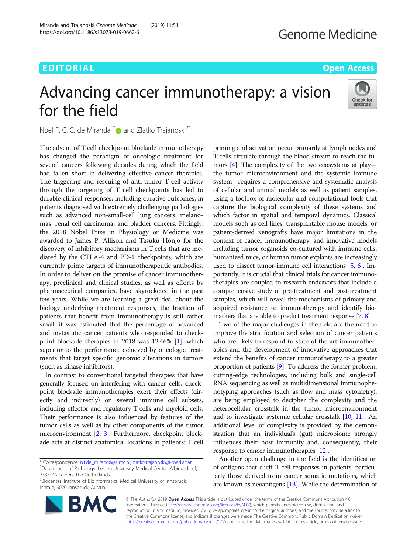## EDITORIAL AND CONTROL CONTROL CONTROL CONTROL CONTROL CONTROL CONTROL CONTROL CONTROL CONTROL CONTROL CONTROL CONTROL CONTROL CONTROL CONTROL CONTROL CONTROL CONTROL CONTROL CONTROL CONTROL CONTROL CONTROL CONTROL CONTROL

# Advancing cancer immunotherapy: a vision for the field



Noel F. C. C. de Miranda<sup>1\*</sup> and Zlatko Trajanoski<sup>2\*</sup>

The advent of T cell checkpoint blockade immunotherapy has changed the paradigm of oncologic treatment for several cancers following decades during which the field had fallen short in delivering effective cancer therapies. The triggering and rescuing of anti-tumor T cell activity through the targeting of T cell checkpoints has led to durable clinical responses, including curative outcomes, in patients diagnosed with extremely challenging pathologies such as advanced non-small-cell lung cancers, melanomas, renal cell carcinoma, and bladder cancers. Fittingly, the 2018 Nobel Prize in Physiology or Medicine was awarded to James P. Allison and Tasuku Honjo for the discovery of inhibitory mechanisms in T cells that are mediated by the CTLA-4 and PD-1 checkpoints, which are currently prime targets of immunotherapeutic antibodies. In order to deliver on the promise of cancer immunotherapy, preclinical and clinical studies, as well as efforts by pharmaceutical companies, have skyrocketed in the past few years. While we are learning a great deal about the biology underlying treatment responses, the fraction of patients that benefit from immunotherapy is still rather small: it was estimated that the percentage of advanced and metastatic cancer patients who responded to checkpoint blockade therapies in 2018 was 12.46% [\[1](#page-2-0)], which superior to the performance achieved by oncologic treatments that target specific genomic alterations in tumors (such as kinase inhibitors).

In contrast to conventional targeted therapies that have generally focused on interfering with cancer cells, checkpoint blockade immunotherapies exert their effects (directly and indirectly) on several immune cell subsets, including effector and regulatory T cells and myeloid cells. Their performance is also influenced by features of the tumor cells as well as by other components of the tumor microenvironment [\[2](#page-2-0), [3](#page-2-0)]. Furthermore, checkpoint blockade acts at distinct anatomical locations in patients: T cell

\* Correspondence: [n.f.de\\_miranda@lumc.nl](mailto:n.f.de_miranda@lumc.nl); [zlatko.trajanoski@i-med.ac.at](mailto:zlatko.trajanoski@i-med.ac.at) <sup>1</sup> <sup>1</sup>Department of Pathology, Leiden University Medical Centre, Albinusdreef, 2333 ZA Leiden, The Netherlands

<sup>2</sup> Biocenter, Institute of Bioinformatics, Medical University of Innsbruck, Innrain, 6020 Innsbruck, Austria



priming and activation occur primarily at lymph nodes and T cells circulate through the blood stream to reach the tu-

Two of the major challenges in the field are the need to improve the stratification and selection of cancer patients who are likely to respond to state-of-the-art immunotherapies and the development of innovative approaches that extend the benefits of cancer immunotherapy to a greater proportion of patients [\[9\]](#page-2-0). To address the former problem, cutting-edge technologies, including bulk and single-cell RNA sequencing as well as multidimensional immunophenotyping approaches (such as flow and mass cytometry), are being employed to decipher the complexity and the heterocellular crosstalk in the tumor microenvironment and to investigate systemic cellular crosstalk [\[10,](#page-2-0) [11](#page-2-0)]. An additional level of complexity is provided by the demonstration that an individual's (gut) microbiome strongly influences their host immunity and, consequently, their response to cancer immunotherapies [\[12\]](#page-2-0).

Another open challenge in the field is the identification of antigens that elicit T cell responses in patients, particularly those derived from cancer somatic mutations, which are known as neoantigens [\[13](#page-2-0)]. While the determination of



© The Author(s). 2019 Open Access This article is distributed under the terms of the Creative Commons Attribution 4.0 International License [\(http://creativecommons.org/licenses/by/4.0/](http://creativecommons.org/licenses/by/4.0/)), which permits unrestricted use, distribution, and reproduction in any medium, provided you give appropriate credit to the original author(s) and the source, provide a link to the Creative Commons license, and indicate if changes were made. The Creative Commons Public Domain Dedication waiver [\(http://creativecommons.org/publicdomain/zero/1.0/](http://creativecommons.org/publicdomain/zero/1.0/)) applies to the data made available in this article, unless otherwise stated.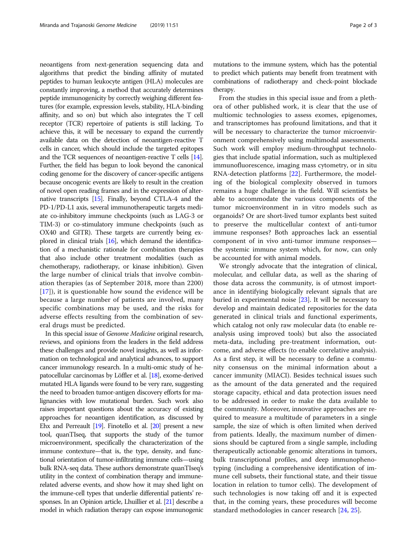neoantigens from next-generation sequencing data and algorithms that predict the binding affinity of mutated peptides to human leukocyte antigen (HLA) molecules are constantly improving, a method that accurately determines peptide immunogenicity by correctly weighing different features (for example, expression levels, stability, HLA-binding affinity, and so on) but which also integrates the T cell receptor (TCR) repertoire of patients is still lacking. To achieve this, it will be necessary to expand the currently available data on the detection of neoantigen-reactive T cells in cancer, which should include the targeted epitopes and the TCR sequences of neoantigen-reactive T cells [\[14](#page-2-0)]. Further, the field has begun to look beyond the canonical coding genome for the discovery of cancer-specific antigens because oncogenic events are likely to result in the creation of novel open reading frames and in the expression of alternative transcripts [\[15\]](#page-2-0). Finally, beyond CTLA-4 and the PD-1/PD-L1 axis, several immunotherapeutic targets mediate co-inhibitory immune checkpoints (such as LAG-3 or TIM-3) or co-stimulatory immune checkpoints (such as OX40 and GITR). These targets are currently being explored in clinical trials [\[16\]](#page-2-0), which demand the identification of a mechanistic rationale for combination therapies that also include other treatment modalities (such as chemotherapy, radiotherapy, or kinase inhibition). Given the large number of clinical trials that involve combination therapies (as of September 2018, more than 2200) [[17\]](#page-2-0)), it is questionable how sound the evidence will be because a large number of patients are involved, many specific combinations may be used, and the risks for adverse effects resulting from the combination of several drugs must be predicted.

In this special issue of Genome Medicine original research, reviews, and opinions from the leaders in the field address these challenges and provide novel insights, as well as information on technological and analytical advances, to support cancer immunology research. In a multi-omic study of hepatocellular carcinomas by Löffler et al. [\[18](#page-2-0)], exome-derived mutated HLA ligands were found to be very rare, suggesting the need to broaden tumor-antigen discovery efforts for malignancies with low mutational burden. Such work also raises important questions about the accuracy of existing approaches for neoantigen identification, as discussed by Ehx and Perreault  $[19]$  $[19]$ . Finotello et al.  $[20]$  $[20]$  $[20]$  present a new tool, quanTIseq, that supports the study of the tumor microenvironment, specifically the characterization of the immune contexture—that is, the type, density, and functional orientation of tumor-infiltrating immune cells—using bulk RNA-seq data. These authors demonstrate quanTIseq's utility in the context of combination therapy and immunerelated adverse events, and show how it may shed light on the immune-cell types that underlie differential patients' responses. In an Opinion article, Lhuillier et al. [[21](#page-2-0)] describe a model in which radiation therapy can expose immunogenic

mutations to the immune system, which has the potential to predict which patients may benefit from treatment with combinations of radiotherapy and check-point blockade therapy.

From the studies in this special issue and from a plethora of other published work, it is clear that the use of multiomic technologies to assess exomes, epigenomes, and transcriptomes has profound limitations, and that it will be necessary to characterize the tumor microenvironment comprehensively using multimodal assessments. Such work will employ medium-throughput technologies that include spatial information, such as multiplexed immunofluorescence, imaging mass cytometry, or in situ RNA-detection platforms [\[22](#page-2-0)]. Furthermore, the modeling of the biological complexity observed in tumors remains a huge challenge in the field. Will scientists be able to accommodate the various components of the tumor microenvironment in in vitro models such as organoids? Or are short-lived tumor explants best suited to preserve the multicellular context of anti-tumor immune responses? Both approaches lack an essential component of in vivo anti-tumor immune responses the systemic immune system which, for now, can only be accounted for with animal models.

We strongly advocate that the integration of clinical, molecular, and cellular data, as well as the sharing of those data across the community, is of utmost importance in identifying biologically relevant signals that are buried in experimental noise [[23](#page-2-0)]. It will be necessary to develop and maintain dedicated repositories for the data generated in clinical trials and functional experiments, which catalog not only raw molecular data (to enable reanalysis using improved tools) but also the associated meta-data, including pre-treatment information, outcome, and adverse effects (to enable correlative analysis). As a first step, it will be necessary to define a community consensus on the minimal information about a cancer immunity (MIACI). Besides technical issues such as the amount of the data generated and the required storage capacity, ethical and data protection issues need to be addressed in order to make the data available to the community. Moreover, innovative approaches are required to measure a multitude of parameters in a single sample, the size of which is often limited when derived from patients. Ideally, the maximum number of dimensions should be captured from a single sample, including therapeutically actionable genomic alterations in tumors, bulk transcriptional profiles, and deep immunophenotyping (including a comprehensive identification of immune cell subsets, their functional state, and their tissue location in relation to tumor cells). The development of such technologies is now taking off and it is expected that, in the coming years, these procedures will become standard methodologies in cancer research [\[24](#page-2-0), [25\]](#page-2-0).